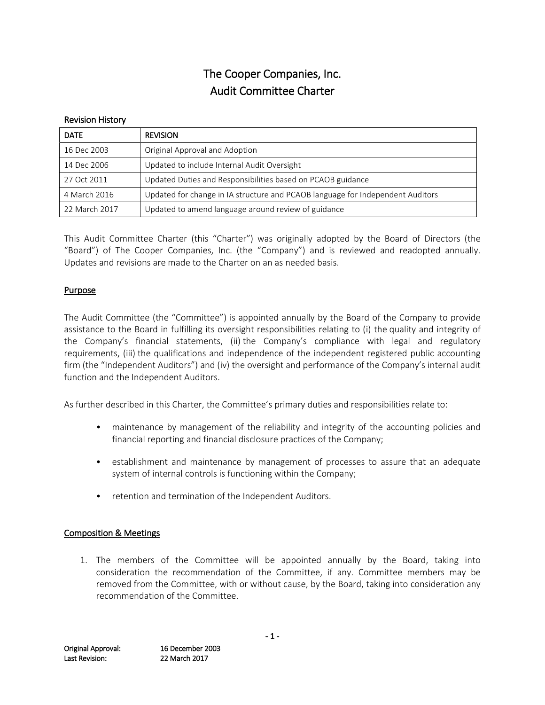# The Cooper Companies, Inc. Audit Committee Charter

#### Revision History

| <b>DATE</b>   | <b>REVISION</b>                                                                |
|---------------|--------------------------------------------------------------------------------|
| 16 Dec 2003   | Original Approval and Adoption                                                 |
| 14 Dec 2006   | Updated to include Internal Audit Oversight                                    |
| 27 Oct 2011   | Updated Duties and Responsibilities based on PCAOB guidance                    |
| 4 March 2016  | Updated for change in IA structure and PCAOB language for Independent Auditors |
| 22 March 2017 | Updated to amend language around review of guidance                            |

This Audit Committee Charter (this "Charter") was originally adopted by the Board of Directors (the "Board") of The Cooper Companies, Inc. (the "Company") and is reviewed and readopted annually. Updates and revisions are made to the Charter on an as needed basis.

#### Purpose

The Audit Committee (the "Committee") is appointed annually by the Board of the Company to provide assistance to the Board in fulfilling its oversight responsibilities relating to (i) the quality and integrity of the Company's financial statements, (ii) the Company's compliance with legal and regulatory requirements, (iii) the qualifications and independence of the independent registered public accounting firm (the "Independent Auditors") and (iv) the oversight and performance of the Company's internal audit function and the Independent Auditors.

As further described in this Charter, the Committee's primary duties and responsibilities relate to:

- maintenance by management of the reliability and integrity of the accounting policies and financial reporting and financial disclosure practices of the Company;
- establishment and maintenance by management of processes to assure that an adequate system of internal controls is functioning within the Company;
- retention and termination of the Independent Auditors.

## Composition & Meetings

1. The members of the Committee will be appointed annually by the Board, taking into consideration the recommendation of the Committee, if any. Committee members may be removed from the Committee, with or without cause, by the Board, taking into consideration any recommendation of the Committee.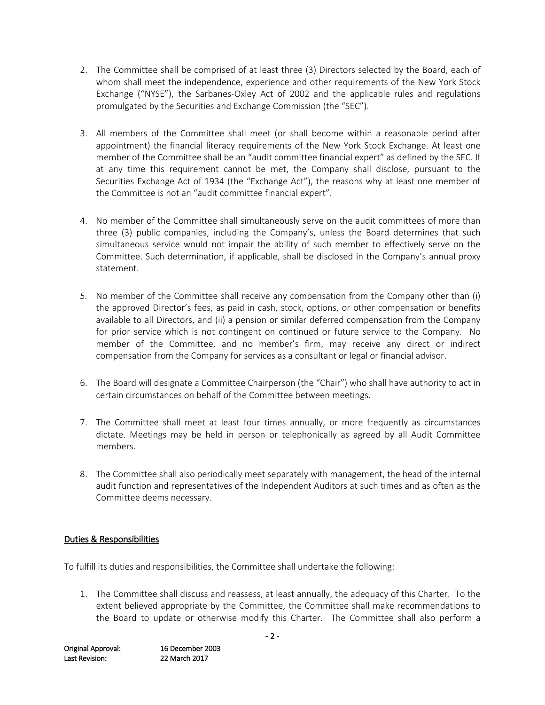- 2. The Committee shall be comprised of at least three (3) Directors selected by the Board, each of whom shall meet the independence, experience and other requirements of the New York Stock Exchange ("NYSE"), the Sarbanes-Oxley Act of 2002 and the applicable rules and regulations promulgated by the Securities and Exchange Commission (the "SEC").
- 3. All members of the Committee shall meet (or shall become within a reasonable period after appointment) the financial literacy requirements of the New York Stock Exchange. At least one member of the Committee shall be an "audit committee financial expert" as defined by the SEC. If at any time this requirement cannot be met, the Company shall disclose, pursuant to the Securities Exchange Act of 1934 (the "Exchange Act"), the reasons why at least one member of the Committee is not an "audit committee financial expert".
- 4. No member of the Committee shall simultaneously serve on the audit committees of more than three (3) public companies, including the Company's, unless the Board determines that such simultaneous service would not impair the ability of such member to effectively serve on the Committee. Such determination, if applicable, shall be disclosed in the Company's annual proxy statement.
- *5.* No member of the Committee shall receive any compensation from the Company other than (i) the approved Director's fees, as paid in cash, stock, options, or other compensation or benefits available to all Directors, and (ii) a pension or similar deferred compensation from the Company for prior service which is not contingent on continued or future service to the Company. No member of the Committee, and no member's firm, may receive any direct or indirect compensation from the Company for services as a consultant or legal or financial advisor.
- 6. The Board will designate a Committee Chairperson (the "Chair") who shall have authority to act in certain circumstances on behalf of the Committee between meetings.
- 7. The Committee shall meet at least four times annually, or more frequently as circumstances dictate. Meetings may be held in person or telephonically as agreed by all Audit Committee members.
- 8. The Committee shall also periodically meet separately with management, the head of the internal audit function and representatives of the Independent Auditors at such times and as often as the Committee deems necessary.

## Duties & Responsibilities

To fulfill its duties and responsibilities, the Committee shall undertake the following:

1. The Committee shall discuss and reassess, at least annually, the adequacy of this Charter. To the extent believed appropriate by the Committee, the Committee shall make recommendations to the Board to update or otherwise modify this Charter. The Committee shall also perform a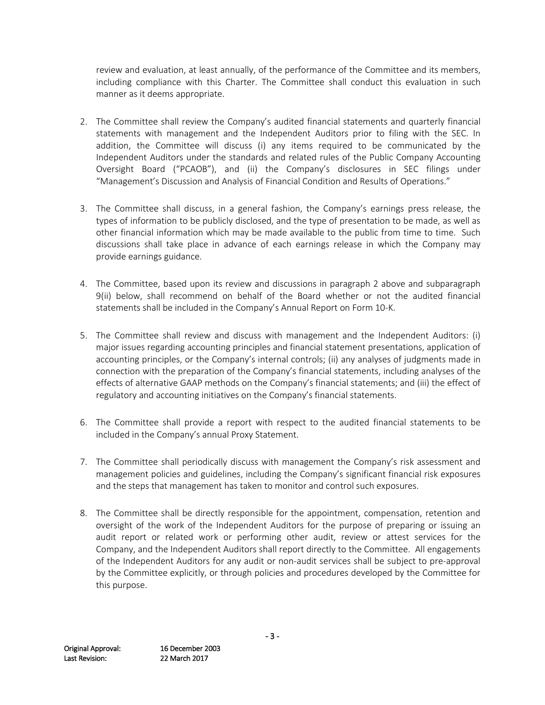review and evaluation, at least annually, of the performance of the Committee and its members, including compliance with this Charter. The Committee shall conduct this evaluation in such manner as it deems appropriate.

- 2. The Committee shall review the Company's audited financial statements and quarterly financial statements with management and the Independent Auditors prior to filing with the SEC. In addition, the Committee will discuss (i) any items required to be communicated by the Independent Auditors under the standards and related rules of the Public Company Accounting Oversight Board ("PCAOB"), and (ii) the Company's disclosures in SEC filings under "Management's Discussion and Analysis of Financial Condition and Results of Operations."
- 3. The Committee shall discuss, in a general fashion, the Company's earnings press release, the types of information to be publicly disclosed, and the type of presentation to be made, as well as other financial information which may be made available to the public from time to time. Such discussions shall take place in advance of each earnings release in which the Company may provide earnings guidance.
- 4. The Committee, based upon its review and discussions in paragraph 2 above and subparagraph 9(ii) below, shall recommend on behalf of the Board whether or not the audited financial statements shall be included in the Company's Annual Report on Form 10-K.
- 5. The Committee shall review and discuss with management and the Independent Auditors: (i) major issues regarding accounting principles and financial statement presentations, application of accounting principles, or the Company's internal controls; (ii) any analyses of judgments made in connection with the preparation of the Company's financial statements, including analyses of the effects of alternative GAAP methods on the Company's financial statements; and (iii) the effect of regulatory and accounting initiatives on the Company's financial statements.
- 6. The Committee shall provide a report with respect to the audited financial statements to be included in the Company's annual Proxy Statement.
- 7. The Committee shall periodically discuss with management the Company's risk assessment and management policies and guidelines, including the Company's significant financial risk exposures and the steps that management has taken to monitor and control such exposures.
- 8. The Committee shall be directly responsible for the appointment, compensation, retention and oversight of the work of the Independent Auditors for the purpose of preparing or issuing an audit report or related work or performing other audit, review or attest services for the Company, and the Independent Auditors shall report directly to the Committee. All engagements of the Independent Auditors for any audit or non-audit services shall be subject to pre-approval by the Committee explicitly, or through policies and procedures developed by the Committee for this purpose.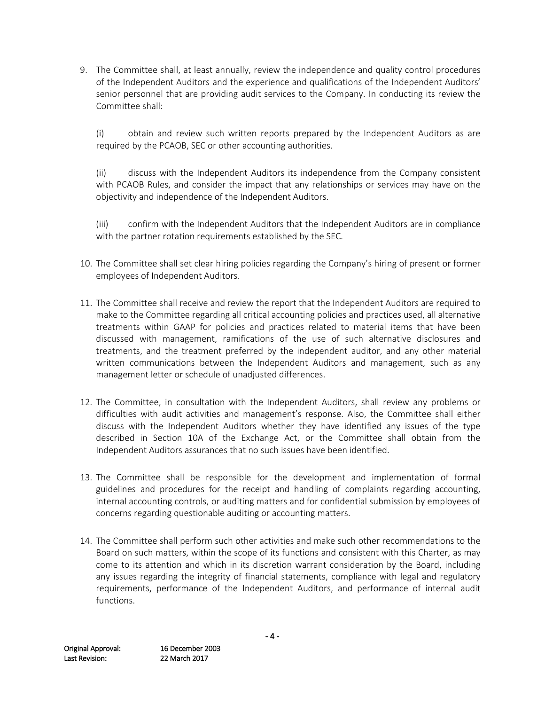9. The Committee shall, at least annually, review the independence and quality control procedures of the Independent Auditors and the experience and qualifications of the Independent Auditors' senior personnel that are providing audit services to the Company. In conducting its review the Committee shall:

(i) obtain and review such written reports prepared by the Independent Auditors as are required by the PCAOB, SEC or other accounting authorities.

(ii) discuss with the Independent Auditors its independence from the Company consistent with PCAOB Rules, and consider the impact that any relationships or services may have on the objectivity and independence of the Independent Auditors.

(iii) confirm with the Independent Auditors that the Independent Auditors are in compliance with the partner rotation requirements established by the SEC.

- 10. The Committee shall set clear hiring policies regarding the Company's hiring of present or former employees of Independent Auditors.
- 11. The Committee shall receive and review the report that the Independent Auditors are required to make to the Committee regarding all critical accounting policies and practices used, all alternative treatments within GAAP for policies and practices related to material items that have been discussed with management, ramifications of the use of such alternative disclosures and treatments, and the treatment preferred by the independent auditor, and any other material written communications between the Independent Auditors and management, such as any management letter or schedule of unadjusted differences.
- 12. The Committee, in consultation with the Independent Auditors, shall review any problems or difficulties with audit activities and management's response. Also, the Committee shall either discuss with the Independent Auditors whether they have identified any issues of the type described in Section 10A of the Exchange Act, or the Committee shall obtain from the Independent Auditors assurances that no such issues have been identified.
- 13. The Committee shall be responsible for the development and implementation of formal guidelines and procedures for the receipt and handling of complaints regarding accounting, internal accounting controls, or auditing matters and for confidential submission by employees of concerns regarding questionable auditing or accounting matters.
- 14. The Committee shall perform such other activities and make such other recommendations to the Board on such matters, within the scope of its functions and consistent with this Charter, as may come to its attention and which in its discretion warrant consideration by the Board, including any issues regarding the integrity of financial statements, compliance with legal and regulatory requirements, performance of the Independent Auditors, and performance of internal audit functions.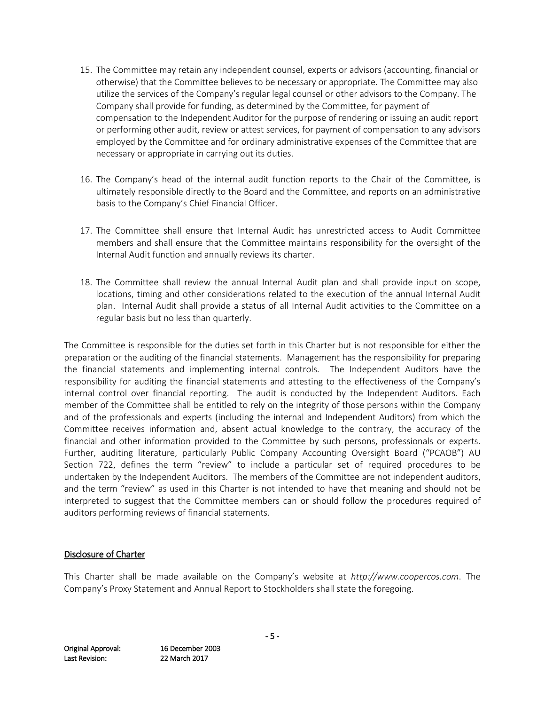- 15. The Committee may retain any independent counsel, experts or advisors (accounting, financial or otherwise) that the Committee believes to be necessary or appropriate. The Committee may also utilize the services of the Company's regular legal counsel or other advisors to the Company. The Company shall provide for funding, as determined by the Committee, for payment of compensation to the Independent Auditor for the purpose of rendering or issuing an audit report or performing other audit, review or attest services, for payment of compensation to any advisors employed by the Committee and for ordinary administrative expenses of the Committee that are necessary or appropriate in carrying out its duties.
- 16. The Company's head of the internal audit function reports to the Chair of the Committee, is ultimately responsible directly to the Board and the Committee, and reports on an administrative basis to the Company's Chief Financial Officer.
- 17. The Committee shall ensure that Internal Audit has unrestricted access to Audit Committee members and shall ensure that the Committee maintains responsibility for the oversight of the Internal Audit function and annually reviews its charter.
- 18. The Committee shall review the annual Internal Audit plan and shall provide input on scope, locations, timing and other considerations related to the execution of the annual Internal Audit plan. Internal Audit shall provide a status of all Internal Audit activities to the Committee on a regular basis but no less than quarterly.

The Committee is responsible for the duties set forth in this Charter but is not responsible for either the preparation or the auditing of the financial statements. Management has the responsibility for preparing the financial statements and implementing internal controls. The Independent Auditors have the responsibility for auditing the financial statements and attesting to the effectiveness of the Company's internal control over financial reporting. The audit is conducted by the Independent Auditors. Each member of the Committee shall be entitled to rely on the integrity of those persons within the Company and of the professionals and experts (including the internal and Independent Auditors) from which the Committee receives information and, absent actual knowledge to the contrary, the accuracy of the financial and other information provided to the Committee by such persons, professionals or experts. Further, auditing literature, particularly Public Company Accounting Oversight Board ("PCAOB") AU Section 722, defines the term "review" to include a particular set of required procedures to be undertaken by the Independent Auditors. The members of the Committee are not independent auditors, and the term "review" as used in this Charter is not intended to have that meaning and should not be interpreted to suggest that the Committee members can or should follow the procedures required of auditors performing reviews of financial statements.

## Disclosure of Charter

This Charter shall be made available on the Company's website at *http://www.coopercos.com*. The Company's Proxy Statement and Annual Report to Stockholders shall state the foregoing.